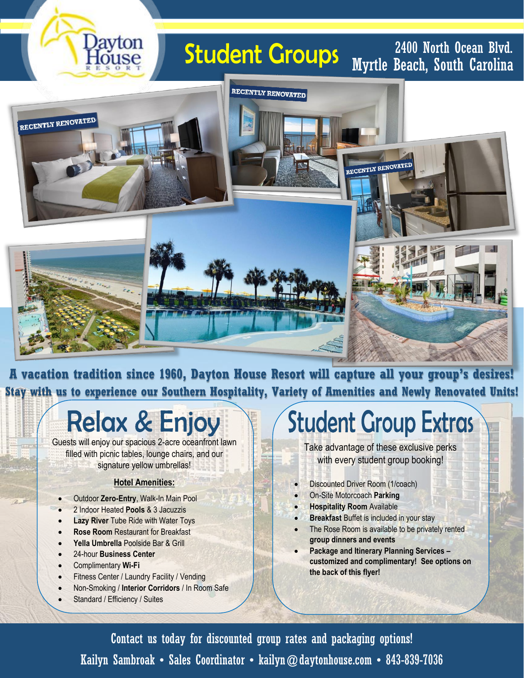# **Student Groups**

Myrtle Beach, South Carolina 2400 North Ocean Blvd.



**A vacation tradition since 1960, Dayton House Resort will capture all your group's desires! Stay with us to experience our Southern Hospitality, Variety of Amenities and Newly Renovated Units!**

## **Relax & Enjoy**

Guests will enjoy our spacious 2-acre oceanfront lawn filled with picnic tables, lounge chairs, and our signature yellow umbrellas!

#### **Hotel Amenities:**

- Outdoor **Zero-Entry**, Walk-In Main Pool
- 2 Indoor Heated **Pools** & 3 Jacuzzis

Javton

- **Lazy River** Tube Ride with Water Toys
- **Rose Room** Restaurant for Breakfast
- **Yella Umbrella** Poolside Bar & Grill
- 24-hour **Business Center**
- Complimentary **Wi-Fi**
- Fitness Center / Laundry Facility / Vending
- Non-Smoking / **Interior Corridors** / In Room Safe
- Standard / Efficiency / Suites

# **Student Group Extras**

Take advantage of these exclusive perks with every student group booking!

- Discounted Driver Room (1/coach)
- On-Site Motorcoach **Parking**
- **Hospitality Room** Available
- **Breakfast** Buffet is included in your stay
	- The Rose Room is available to be privately rented **group dinners and events**
	- **Package and Itinerary Planning Services – customized and complimentary! See options on the back of this flyer!**

Kailyn Sambroak • Sales Coordinator • kailyn@daytonhouse.com • 843-839-7036 Contact us today for discounted group rates and packaging options!